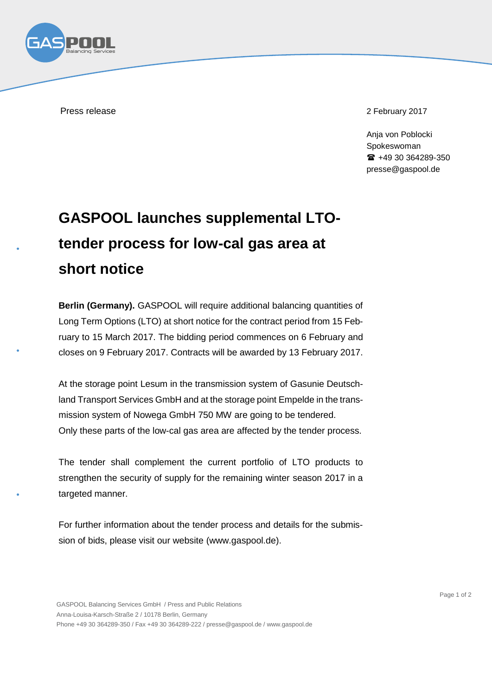

Press release 2 February 2017

Anja von Poblocki Spokeswoman +49 30 364289-350 presse@gaspool.de

## **GASPOOL launches supplemental LTOtender process for low-cal gas area at short notice**

**Berlin (Germany).** GASPOOL will require additional balancing quantities of Long Term Options (LTO) at short notice for the contract period from 15 February to 15 March 2017. The bidding period commences on 6 February and closes on 9 February 2017. Contracts will be awarded by 13 February 2017.

At the storage point Lesum in the transmission system of Gasunie Deutschland Transport Services GmbH and at the storage point Empelde in the transmission system of Nowega GmbH 750 MW are going to be tendered. Only these parts of the low-cal gas area are affected by the tender process.

The tender shall complement the current portfolio of LTO products to strengthen the security of supply for the remaining winter season 2017 in a targeted manner.

For further information about the tender process and details for the submission of bids, please visit our website (www.gaspool.de).